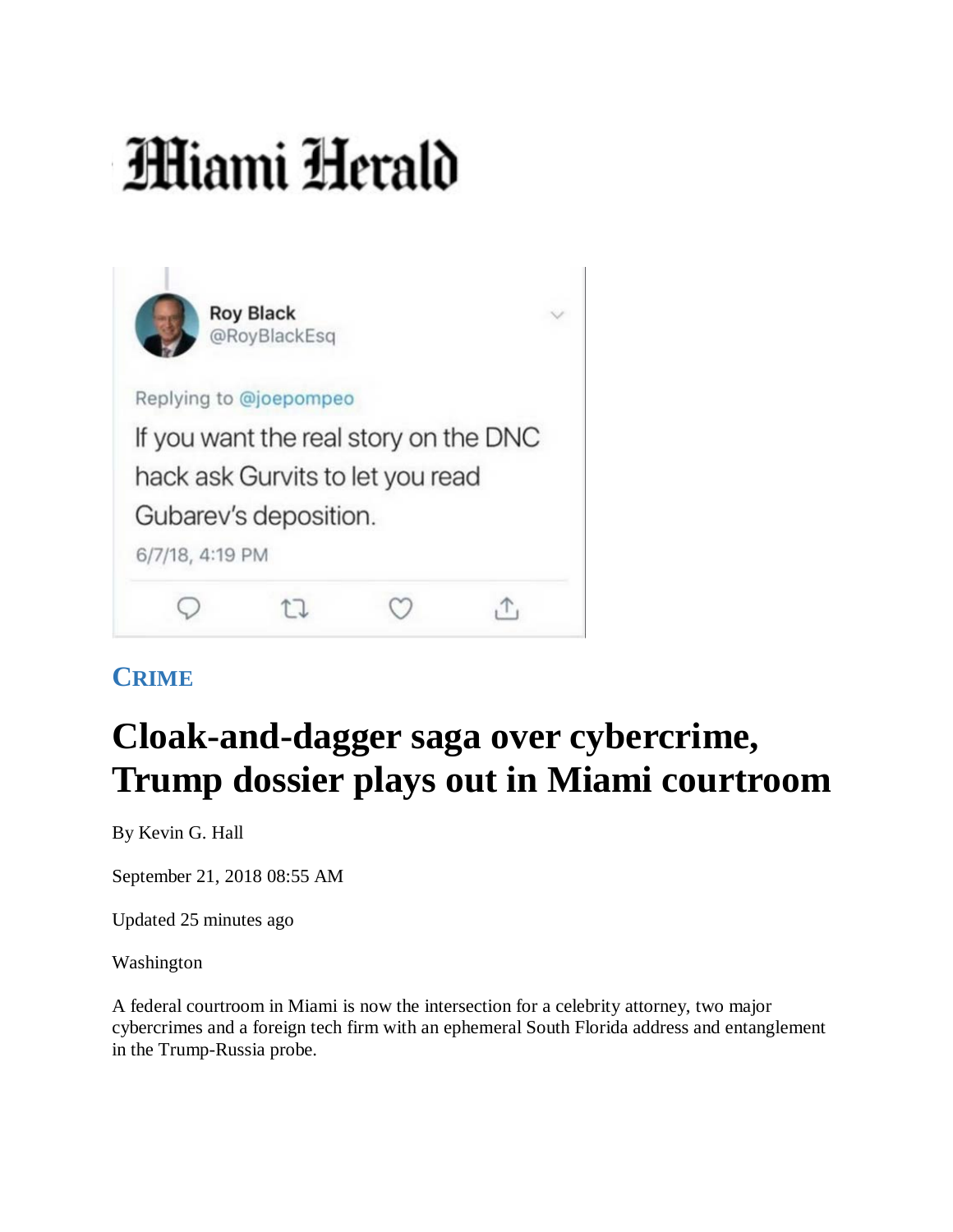## **Hiami Herald**

|                                       | <b>Roy Black</b><br>@RoyBlackEsq |  |  |
|---------------------------------------|----------------------------------|--|--|
| Replying to @joepompeo                |                                  |  |  |
| If you want the real story on the DNC |                                  |  |  |
| hack ask Gurvits to let you read      |                                  |  |  |
| Gubarev's deposition.                 |                                  |  |  |
| 6/7/18, 4:19 PM                       |                                  |  |  |
|                                       |                                  |  |  |

## **CRIME**

## **Cloak-and-dagger saga over cybercrime, Trump dossier plays out in Miami courtroom**

By Kevin G. Hall

September 21, 2018 08:55 AM

Updated 25 minutes ago

Washington

A federal courtroom in Miami is now the intersection for a celebrity attorney, two major cybercrimes and a foreign tech firm with an ephemeral South Florida address and entanglement in the Trump-Russia probe.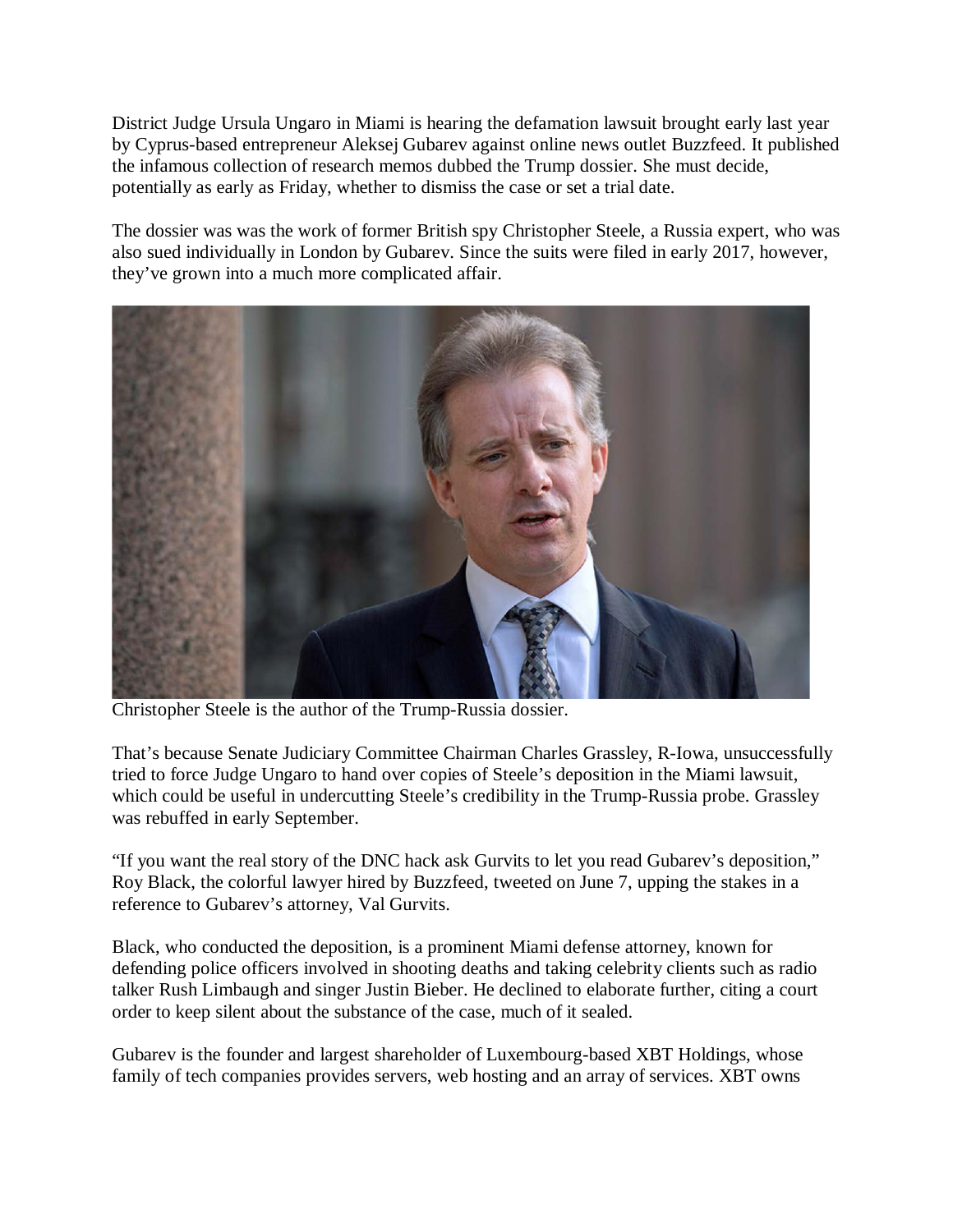District Judge Ursula Ungaro in Miami is hearing the defamation lawsuit brought early last year by Cyprus-based entrepreneur Aleksej Gubarev against online news outlet Buzzfeed. It published the infamous collection of research memos dubbed the Trump dossier. She must decide, potentially as early as Friday, whether to dismiss the case or set a trial date.

The dossier was was the work of former British spy Christopher Steele, a Russia expert, who was also sued individually in London by Gubarev. Since the suits were filed in early 2017, however, they've grown into a much more complicated affair.



Christopher Steele is the author of the Trump-Russia dossier.

That's because Senate Judiciary Committee Chairman Charles Grassley, R-Iowa, unsuccessfully tried to force Judge Ungaro to hand over copies of Steele's deposition in the Miami lawsuit, which could be useful in undercutting Steele's credibility in the Trump-Russia probe. Grassley was rebuffed in early September.

"If you want the real story of the DNC hack ask Gurvits to let you read Gubarev's deposition," Roy Black, the colorful lawyer hired by Buzzfeed, tweeted on June 7, upping the stakes in a reference to Gubarev's attorney, Val Gurvits.

Black, who conducted the deposition, is a prominent Miami defense attorney, known for defending police officers involved in shooting deaths and taking celebrity clients such as radio talker Rush Limbaugh and singer Justin Bieber. He declined to elaborate further, citing a court order to keep silent about the substance of the case, much of it sealed.

Gubarev is the founder and largest shareholder of Luxembourg-based XBT Holdings, whose family of tech companies provides servers, web hosting and an array of services. XBT owns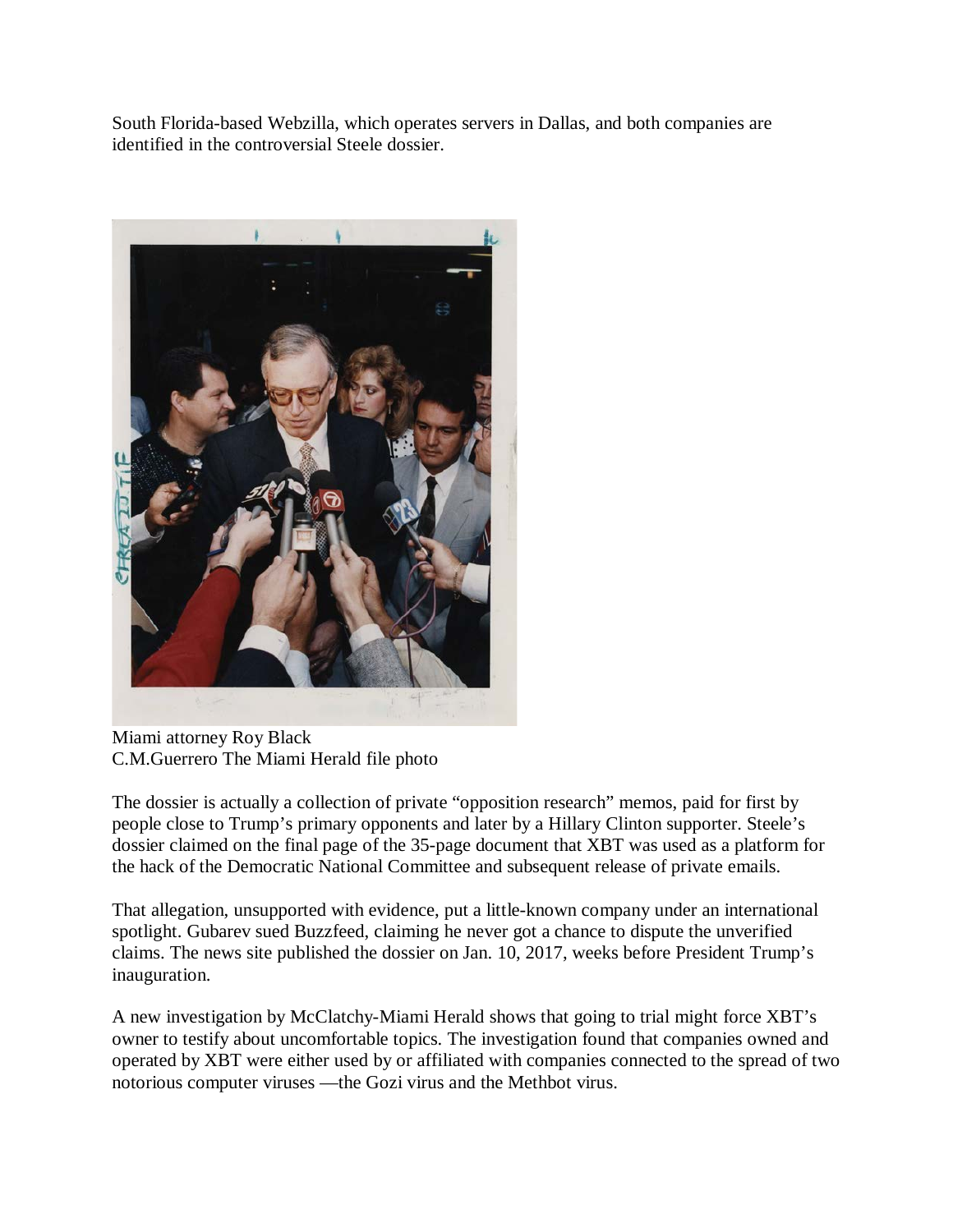South Florida-based Webzilla, which operates servers in Dallas, and both companies are identified in the controversial Steele dossier.



Miami attorney Roy Black C.M.Guerrero The Miami Herald file photo

The dossier is actually a collection of private "opposition research" memos, paid for first by people close to Trump's primary opponents and later by a Hillary Clinton supporter. Steele's dossier claimed on the final page of the 35-page document that XBT was used as a platform for the hack of the Democratic National Committee and subsequent release of private emails.

That allegation, unsupported with evidence, put a little-known company under an international spotlight. Gubarev sued Buzzfeed, claiming he never got a chance to dispute the unverified claims. The news site published the dossier on Jan. 10, 2017, weeks before President Trump's inauguration.

A new investigation by McClatchy-Miami Herald shows that going to trial might force XBT's owner to testify about uncomfortable topics. The investigation found that companies owned and operated by XBT were either used by or affiliated with companies connected to the spread of two notorious computer viruses —the Gozi virus and the Methbot virus.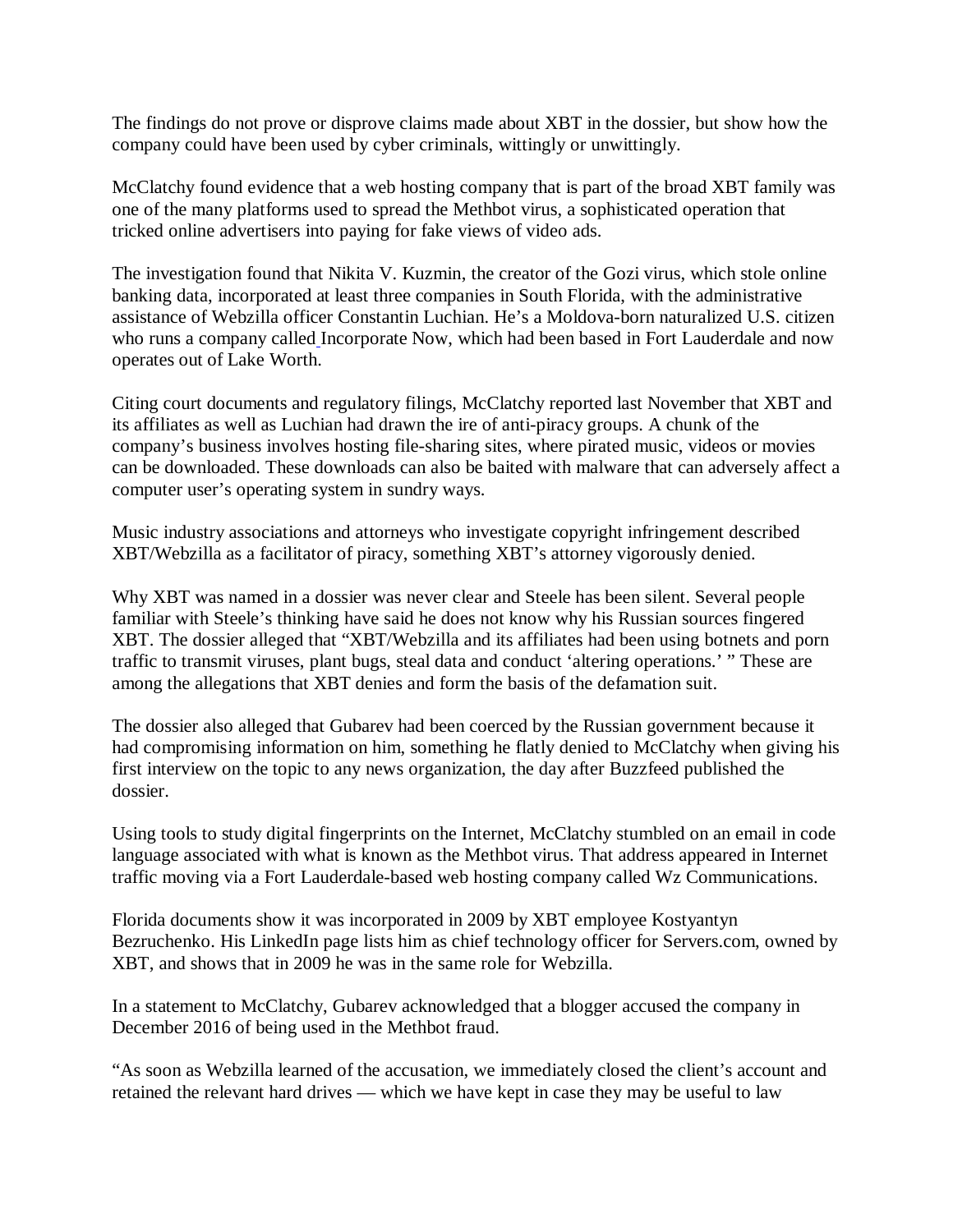The findings do not prove or disprove claims made about XBT in the dossier, but show how the company could have been used by cyber criminals, wittingly or unwittingly.

McClatchy found evidence that a web hosting company that is part of the broad XBT family was one of the many platforms used to spread the Methbot virus, a sophisticated operation that tricked online advertisers into paying for fake views of video ads.

The investigation found that Nikita V. Kuzmin, the creator of the Gozi virus, which stole online banking data, incorporated at least three companies in South Florida, with the administrative assistance of Webzilla officer Constantin Luchian. He's a Moldova-born naturalized U.S. citizen who runs a company called Incorporate Now, which had been based in Fort Lauderdale and now operates out of Lake Worth.

Citing court documents and regulatory filings, McClatchy reported last November that XBT and its affiliates as well as Luchian had drawn the ire of anti-piracy groups. A chunk of the company's business involves hosting file-sharing sites, where pirated music, videos or movies can be downloaded. These downloads can also be baited with malware that can adversely affect a computer user's operating system in sundry ways.

Music industry associations and attorneys who investigate copyright infringement described XBT/Webzilla as a facilitator of piracy, something XBT's attorney vigorously denied.

Why XBT was named in a dossier was never clear and Steele has been silent. Several people familiar with Steele's thinking have said he does not know why his Russian sources fingered XBT. The dossier alleged that "XBT/Webzilla and its affiliates had been using botnets and porn traffic to transmit viruses, plant bugs, steal data and conduct 'altering operations.' " These are among the allegations that XBT denies and form the basis of the defamation suit.

The dossier also alleged that Gubarev had been coerced by the Russian government because it had compromising information on him, something he flatly denied to McClatchy when giving his first interview on the topic to any news organization, the day after Buzzfeed published the dossier.

Using tools to study digital fingerprints on the Internet, McClatchy stumbled on an email in code language associated with what is known as the Methbot virus. That address appeared in Internet traffic moving via a Fort Lauderdale-based web hosting company called Wz Communications.

Florida documents show it was incorporated in 2009 by XBT employee Kostyantyn Bezruchenko. His LinkedIn page lists him as chief technology officer for Servers.com, owned by XBT, and shows that in 2009 he was in the same role for Webzilla.

In a statement to McClatchy, Gubarev acknowledged that a blogger accused the company in December 2016 of being used in the Methbot fraud.

"As soon as Webzilla learned of the accusation, we immediately closed the client's account and retained the relevant hard drives — which we have kept in case they may be useful to law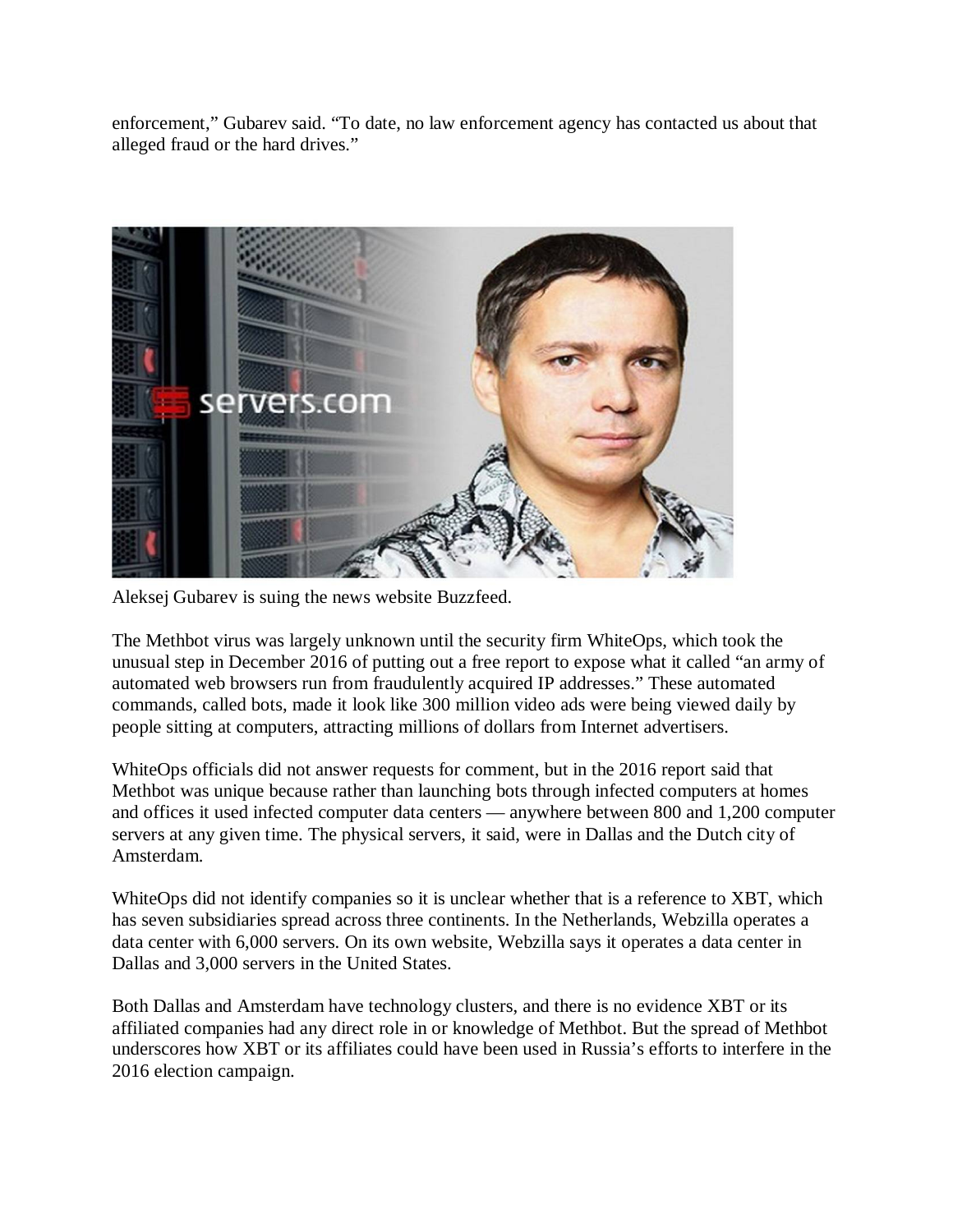enforcement," Gubarev said. "To date, no law enforcement agency has contacted us about that alleged fraud or the hard drives."



Aleksej Gubarev is suing the news website Buzzfeed.

The Methbot virus was largely unknown until the security firm WhiteOps, which took the unusual step in December 2016 of putting out a free report to expose what it called "an army of automated web browsers run from fraudulently acquired IP addresses." These automated commands, called bots, made it look like 300 million video ads were being viewed daily by people sitting at computers, attracting millions of dollars from Internet advertisers.

WhiteOps officials did not answer requests for comment, but in the 2016 report said that Methbot was unique because rather than launching bots through infected computers at homes and offices it used infected computer data centers — anywhere between 800 and 1,200 computer servers at any given time. The physical servers, it said, were in Dallas and the Dutch city of Amsterdam.

WhiteOps did not identify companies so it is unclear whether that is a reference to XBT, which has seven subsidiaries spread across three continents. In the Netherlands, Webzilla operates a data center with 6,000 servers. On its own website, Webzilla says it operates a data center in Dallas and 3,000 servers in the United States.

Both Dallas and Amsterdam have technology clusters, and there is no evidence XBT or its affiliated companies had any direct role in or knowledge of Methbot. But the spread of Methbot underscores how XBT or its affiliates could have been used in Russia's efforts to interfere in the 2016 election campaign.